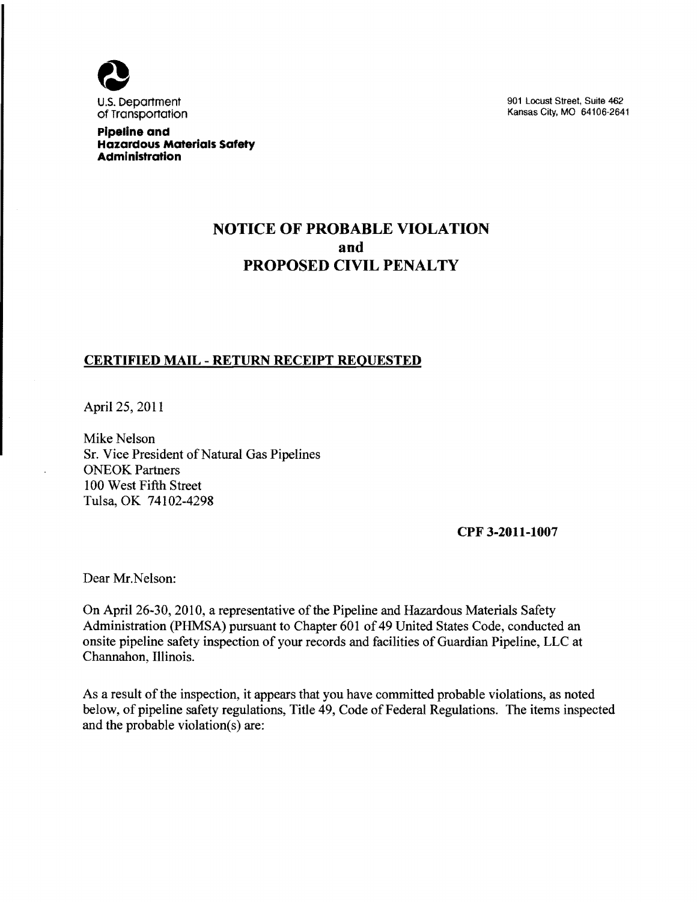

U.S. Department 901 Locust Street, Suite 462<br>
Of Transportation 64106-264 Kansas City, MO 64106-2641

**pipeline and Hazardous Materials Safety Administration** 

# **NOTICE OF PROBABLE VIOLATION and PROPOSED CIVIL PENALTY**

### **CERTIFIED MAIL - RETURN RECEIPT REQUESTED**

April 25, 2011

Mike Nelson Sr. Vice President of Natural Gas Pipelines ONEOK Partners 100 West Fifth Street Tulsa, OK 74102-4298

**CPF 3-2011-1007** 

Dear Mr.Nelson:

On April 26-30, 2010, a representative of the Pipeline and Hazardous Materials Safety Administration (PHMSA) pursuant to Chapter 601 of 49 United States Code, conducted an onsite pipeline safety inspection of your records and facilities of Guardian Pipeline, LLC at Channahon, Illinois.

As a result of the inspection, it appears that you have committed probable violations, as noted below, of pipeline safety regulations, Title 49, Code of Federal Regulations. The items inspected and the probable violation(s) are: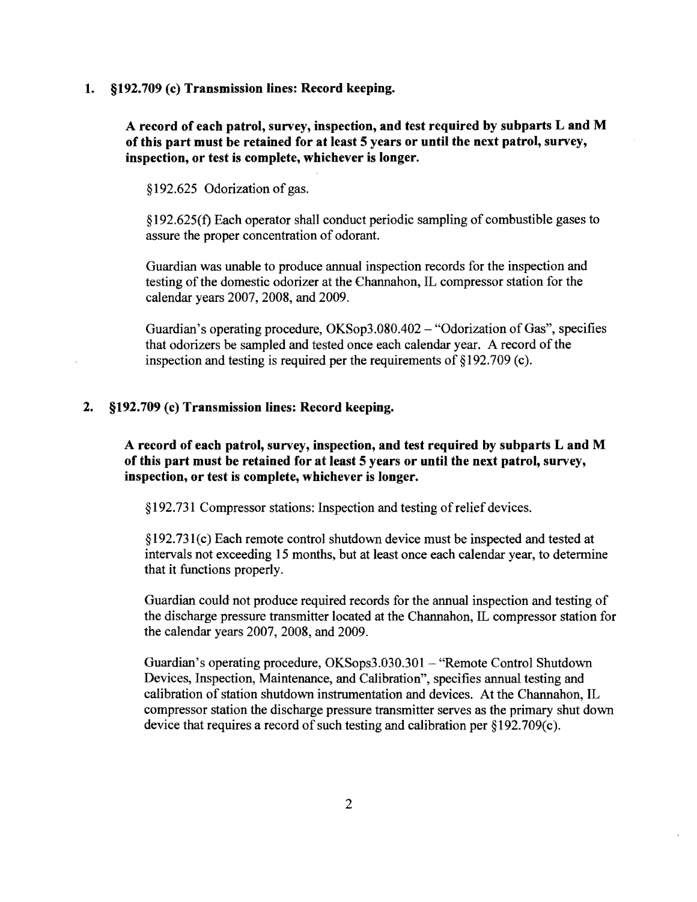I. §192.709 (c) Transmission lines: Record keeping.

A record of each patrol, survey, inspection, and test required by subparts L and M of this part must be retained for at least 5 years or until the next patrol, survey, inspection, or test is complete, whichever is longer.

§192.625 Odorization of gas.

§192.625(f) Each operator shall conduct periodic sampling of combustible gases to assure the proper concentration of odorant.

Guardian was unable to produce annual inspection records for the inspection and testing of the domestic odorizer at the Channahon, IL compressor station for the calendar years 2007, 2008, and 2009.

Guardian's operating procedure,  $OKSop3.080.402 - "Odorization of Gas", specifies$ that odorizers be sampled and tested once each calendar year. A record of the inspection and testing is required per the requirements of §192.709 (c).

### 2. §192.709 (c) Transmission lines: Record keeping.

A record of each patrol, survey, inspection, and test required by subparts L and M of this part must be retained for at least 5 years or until the next patrol, survey, inspection, or test is complete, whichever is longer.

§192.731 Compressor stations: Inspection and testing ofrelief devices.

§192.731 (c) Each remote control shutdown device must be inspected and tested at intervals not exceeding 15 months, but at least once each calendar year, to determine that it functions properly.

Guardian could not produce required records for the annual inspection and testing of the discharge pressure transmitter located at the Channahon, IL compressor station for the calendar years 2007, 2008, and 2009.

Guardian's operating procedure, OKSops3.030.301 – "Remote Control Shutdown" Devices, Inspection, Maintenance, and Calibration", specifies annual testing and calibration of station shutdown instrumentation and devices. At the Channahon, IL compressor station the discharge pressure transmitter serves as the primary shut down device that requires a record of such testing and calibration per  $\S 192.709(c)$ .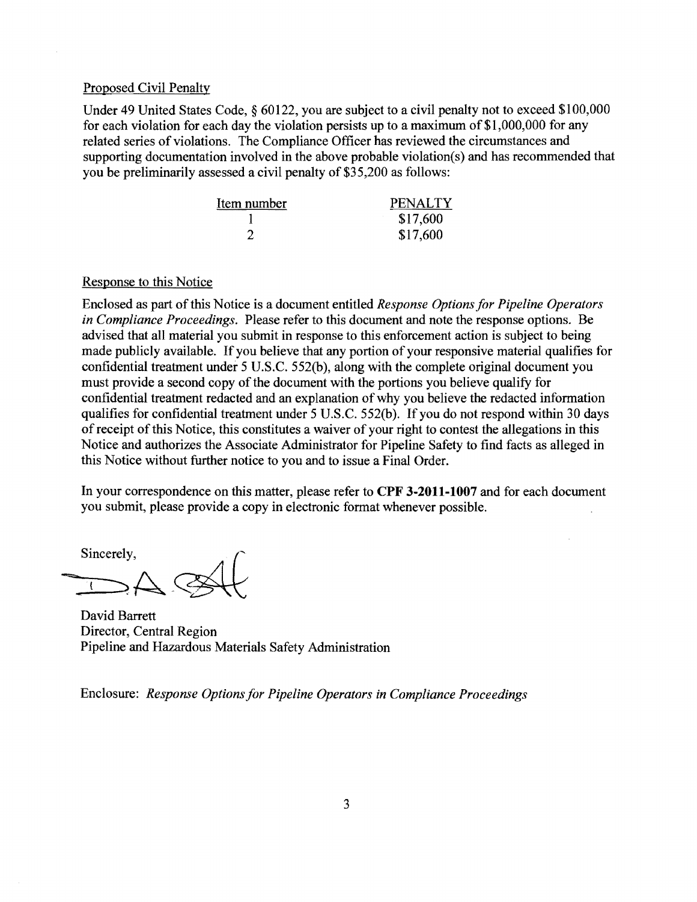#### Proposed Civil Penalty

Under 49 United States Code, § 60122, you are subject to a civil penalty not to exceed \$100,000 for each violation for each day the violation persists up to a maximum of\$I,OOO,OOO for any related series of violations. The Compliance Officer has reviewed the circumstances and supporting documentation involved in the above probable violation(s) and has recommended that you be preliminarily assessed a civil penalty of \$35,200 as follows:

| Item number | <b>PENALTY</b> |
|-------------|----------------|
|             | \$17,600       |
|             | \$17,600       |

### Response to this Notice

Enclosed as part ofthis Notice is a document entitled *Response Options for Pipeline Operators in Compliance Proceedings.* Please refer to this document and note the response options. Be advised that all material you submit in response to this enforcement action is subject to being made publicly available. If you believe that any portion of your responsive material qualifies for confidential treatment under 5 U.S.C. 552(b), along with the complete original document you must provide a second copy of the document with the portions you believe qualify for confidential treatment redacted and an explanation of why you believe the redacted information qualifies for confidential treatment under 5 U.S.c. 552(b). If you do not respond within 30 days of receipt of this Notice, this constitutes a waiver of your right to contest the allegations in this Notice and authorizes the Associate Administrator for Pipeline Safety to find facts as alleged in this Notice without further notice to you and to issue a Final Order.

In your correspondence on this matter, please refer to **CPF 3-2011-1007** and for each document you submit, please provide a copy in electronic format whenever possible.

Sincerely,  $-4.89H$ 

David Barrett Director, Central Region Pipeline and Hazardous Materials Safety Administration

Enclosure: *Response Options for Pipeline Operators in Compliance Proceedings*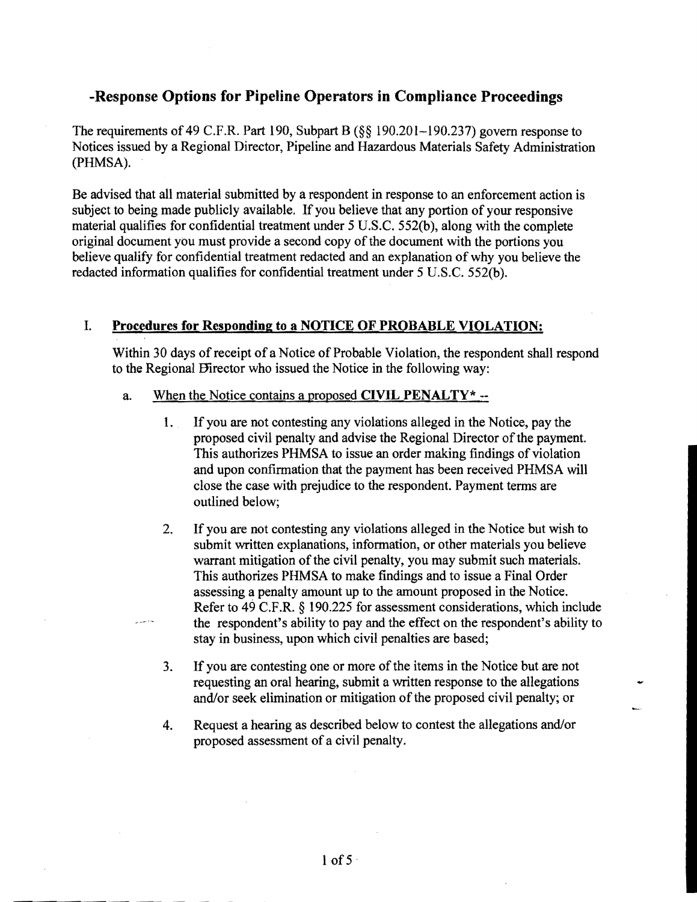# **-Response Options for Pipeline Operators in Compliance Proceedings**

The requirements of 49 C.F.R. Part 190, Subpart B (§§ 190.201-190.237) govern response to Notices issued by a Regional Director, Pipeline and Hazardous Materials Safety Administration (PHMSA).

Be advised that all material submitted by a respondent in response to an enforcement action is subject to being made publicly available. If you believe that any portion of your responsive material qualifies for confidential treatment under 5 U.S.C. 552(b), along with the complete original document you must provide a second copy of the document with the portions you believe qualify for confidential treatment redacted and an explanation of why you believe the redacted information qualifies for confidential treatment under 5 U.S.C. 552(b).

### 1. **Procedures for Responding to a NOTICE OF PROBABLE VIOLATION:**

Within 30 days of receipt of a Notice of Probable Violation, the respondent shall respond to the Regional Birector who issued the Notice in the following way:

### a. When the Notice contains a proposed **CIVIL PENALTY**\* --

- 1. If you are not contesting any violations alleged in the Notice, pay the proposed civil penalty and advise the Regional Director of the payment. This authorizes PHMSA to issue an order making findings of violation and upon confirmation that the payment has been received PHMSA will close the case with prejudice to the respondent. Payment terms are outlined below;
- 2. If you are not contesting any violations alleged in the Notice but wish to submit written explanations, information, or other materials you believe warrant mitigation of the civil penalty, you may submit such materials. This authorizes PHMSA to make findings and to issue a Final Order assessing a penalty amount up to the amount proposed in the Notice. Refer to 49 C.F.R. § 190.225 for assessment considerations, which include the respondent's ability to pay and the effect on the respondent's ability to stay in business, upon which civil penalties are based;
- 3. If you are contesting one or more of the items in the Notice but are not requesting an oral hearing, submit a written response to the allegations and/or seek elimination or mitigation of the proposed civil penalty; or
- 4. Request a hearing as described below to contest the allegations and/or proposed assessment of a civil penalty.

.- -

-----------------.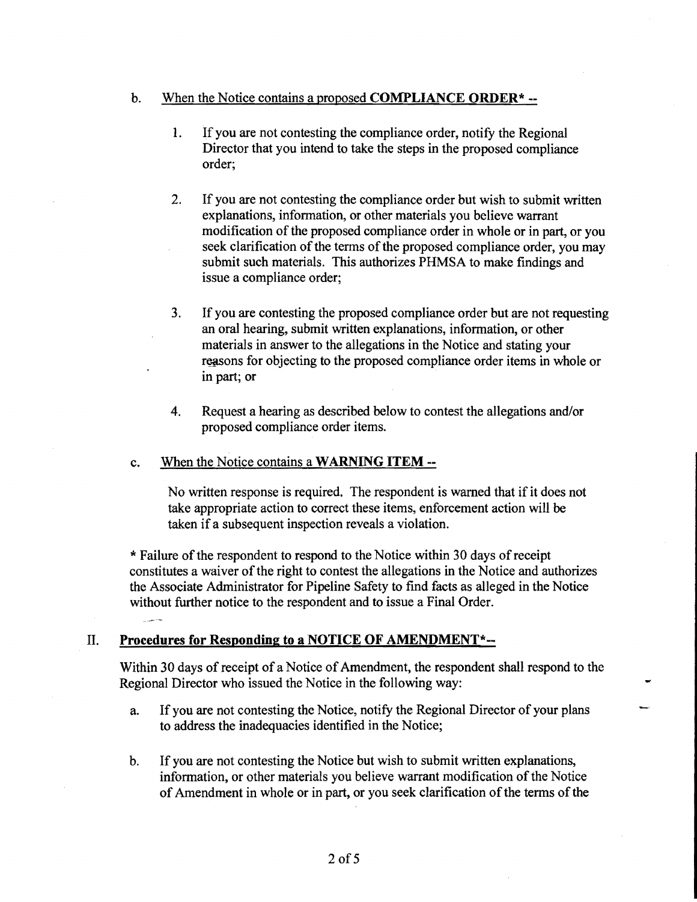### b. When the Notice contains a proposed COMPLIANCE ORDER<sup>\*</sup> --

- 1. If you are not contesting the compliance order, notify the Regional Director that you intend to take the steps in the proposed compliance order;
- 2. If you are not contesting the compliance order but wish to submit written explanations, information, or other materials you believe warrant modification of the proposed compliance order in whole or in part, or you seek clarification of the terms of the proposed compliance order, you may submit such materials. This authorizes PHMSA to make findings and issue a compliance order;
- 3. If you are contesting the proposed compliance order but are not requesting an oral hearing, submit written explanations, information, or other materials in answer to the allegations in the Notice and stating your reasons for objecting to the proposed compliance order items in whole or in part; or
- 4. Request a hearing as described below to contest the allegations and/or proposed compliance order items.

### c. When the Notice contains a WARNING ITEM --

No written response is required. The respondent is warned that if it does not take appropriate action to correct these items, enforcement action will be taken if a subsequent inspection reveals a violation.

\* Failure of the respondent to respond to the Notice within 30 days ofreceipt constitutes a waiver of the right to contest the allegations in the Notice and authorizes the Associate Administrator for Pipeline Safety to find facts as alleged in the Notice without further notice to the respondent and to issue a Final Order.

### II. Procedures for Responding to a NOTICE OF AMENDMENT\*--

Within 30 days of receipt of a Notice of Amendment, the respondent shall respond to the Regional Director who issued the Notice in the following way:

- a. If you are not contesting the Notice, notify the Regional Director of your plans to address the inadequacies identified in the Notice;
- b. If you are not contesting the Notice but wish to submit written explanations, information, or other materials you believe warrant modification of the Notice of Amendment in whole or in part, or you seek clarification of the terms of the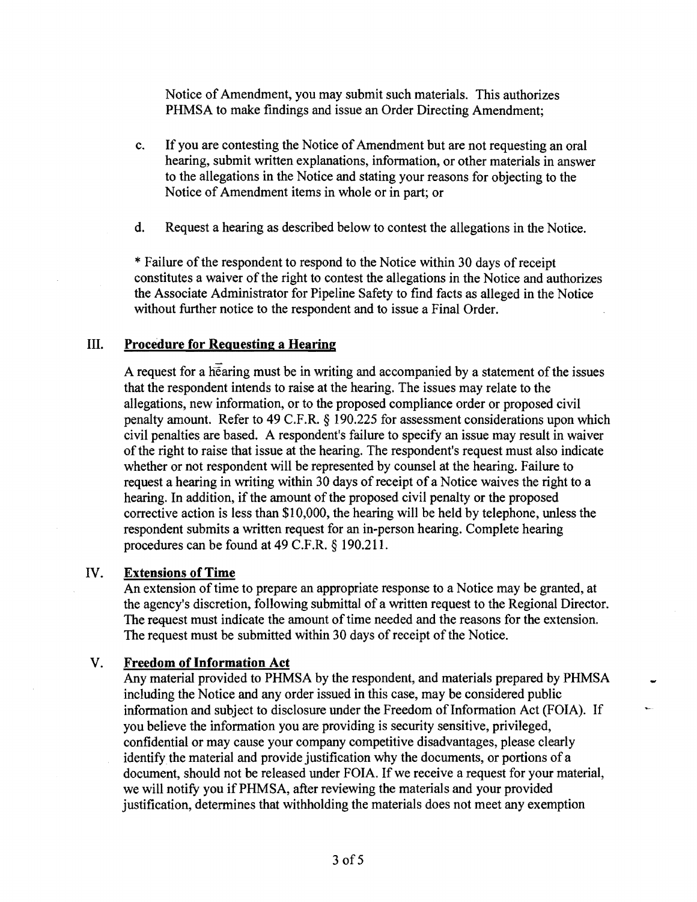Notice of Amendment, you may submit such materials. This authorizes PHMSA to make findings and issue an Order Directing Amendment;

- c. If you are contesting the Notice of Amendment but are not requesting an oral hearing, submit written explanations, information, or other materials in answer to the allegations in the Notice and stating your reasons for objecting to the Notice of Amendment items in whole or in part; or
- d. Request a hearing as described below to contest the allegations in the Notice.

\* Failure of the respondent to respond to the Notice within 30 days of receipt constitutes a waiver of the right to contest the allegations in the Notice and authorizes the Associate Administrator for Pipeline Safety to find facts as alleged in the Notice without further notice to the respondent and to issue a Final Order.

### III. Procedure for Requesting a Hearing

A request for a hearing must be in writing and accompanied by a statement of the issues that the respondent intends to raise at the hearing. The issues may relate to the allegations, new information, or to the proposed compliance order or proposed civil penalty amount. Refer to 49 C.F.R. § 190.225 for assessment considerations upon which civil penalties are based. A respondent's failure to specify an issue may result in waiver ofthe right to raise that issue at the hearing. The respondent's request must also indicate whether or not respondent will be represented by counsel at the hearing. Failure to request a hearing in writing within 30 days of receipt of a Notice waives the right to a hearing. In addition, if the amount of the proposed civil penalty or the proposed corrective action is less than \$10,000, the hearing will be held by telephone, unless the respondent submits a written request for an in~person hearing. Complete hearing procedures can be found at 49 C.F.R. § 190.211.

#### IV. Extensions of Time

An extension of time to prepare an appropriate response to a Notice may be granted, at the agency's discretion, following submittal of a written request to the Regional Director. The request must indicate the amount of time needed and the reasons for the extension. The request must be submitted within 30 days of receipt of the Notice.

#### V. Freedom of Information Act

Any material provided to PHMSA by the respondent, and materials prepared by PHMSA including the Notice and any order issued in this case, may be considered public information and subject to disclosure under the Freedom of Information Act (FOIA). If you believe the information you are providing is security sensitive, privileged, confidential or may cause your company competitive disadvantages, please clearly identify the material and provide justification why the documents, or portions of a document, should not be released under FOIA. If we receive a request for your material, we will notify you ifPHMSA, after reviewing the materials and your provided justification, determines that withholding the materials does not meet any exemption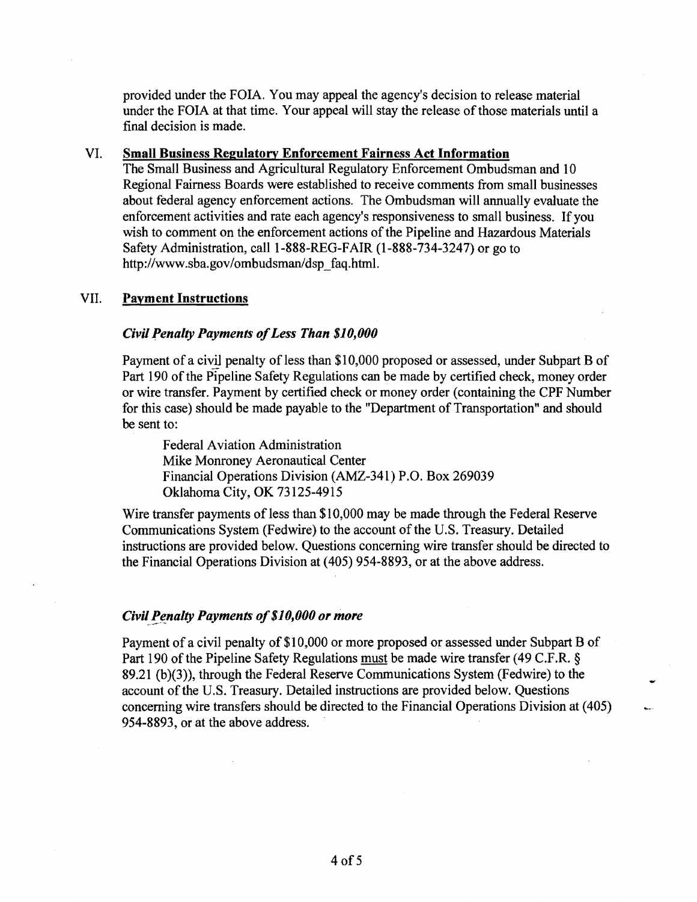provided under the FOIA. You may appeal the agency's decision to release material under the FOIA at that time. Your appeal will stay the release of those materials until a final decision is made.

### VI. Small Business Regulatory Enforcement Fairness Act Information

The Small Business and Agricultural Regulatory Enforcement Ombudsman and 10 Regional Fairness Boards were established to receive comments from small businesses about federal agency enforcement actions. The Ombudsman will annually evaluate the enforcement activities and rate each agency's responsiveness to small business. If you wish to comment on the enforcement actions of the Pipeline and Hazardous Materials Safety Administration, call 1-888-REG-FAIR (1-888-734-3247) or go to http://www.sba.gov/ombudsman/dsp\_faq.html.

### VII. Payment Instructions

#### *Civil Penalty Payments 0/Less Than \$10,000*

Payment of a civil penalty of less than \$10,000 proposed or assessed, under Subpart B of Part 190 of the Pipeline Safety Regulations can be made by certified check, money order or wire transfer. Payment by certified check or money order (containing the CPF Number for this case) should be made payable to the "Department of Transportation" and should be sent to:

Federal Aviation Administration Mike Monroney Aeronautical Center Financial Operations Division (AMZ-341) P.O. Box 269039 Oklahoma City, OK 73125-4915

Wire transfer payments of less than \$10,000 may be made through the Federal Reserve Communications System (Fedwire) to the account of the U.S. Treasury. Detailed instructions are provided below. Questions concerning wire transfer should be directed to the Financial Operations Division at (405) 954-8893, or at the above address.

#### *Civil Penalty Payments of \$10,000 or more*

Payment of a civil penalty of \$10,000 or more proposed or assessed under Subpart B of Part 190 of the Pipeline Safety Regulations must be made wire transfer (49 C.F.R. § 89.21 (b)(3)), through the Federal Reserve Communications System (Fedwire) to the account of the U.S. Treasury. Detailed instructions are provided below. Questions concerning wire transfers should be directed to the Financial Operations Division at (405) 954-8893, or at the above address.